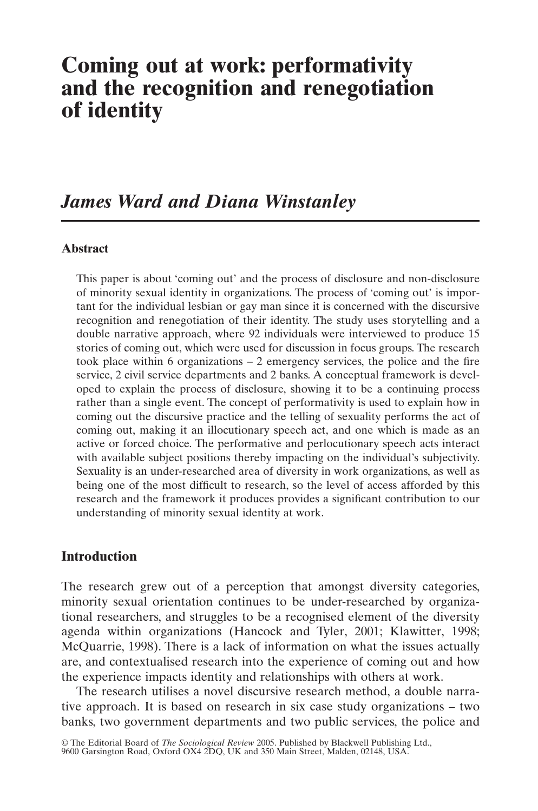# **Coming out at work: performativity and the recognition and renegotiation of identity**

# *James Ward and Diana Winstanley*

#### **Abstract**

This paper is about 'coming out' and the process of disclosure and non-disclosure of minority sexual identity in organizations. The process of 'coming out' is important for the individual lesbian or gay man since it is concerned with the discursive recognition and renegotiation of their identity. The study uses storytelling and a double narrative approach, where 92 individuals were interviewed to produce 15 stories of coming out, which were used for discussion in focus groups. The research took place within 6 organizations – 2 emergency services, the police and the fire service, 2 civil service departments and 2 banks. A conceptual framework is developed to explain the process of disclosure, showing it to be a continuing process rather than a single event. The concept of performativity is used to explain how in coming out the discursive practice and the telling of sexuality performs the act of coming out, making it an illocutionary speech act, and one which is made as an active or forced choice. The performative and perlocutionary speech acts interact with available subject positions thereby impacting on the individual's subjectivity. Sexuality is an under-researched area of diversity in work organizations, as well as being one of the most difficult to research, so the level of access afforded by this research and the framework it produces provides a significant contribution to our understanding of minority sexual identity at work.

### **Introduction**

The research grew out of a perception that amongst diversity categories, minority sexual orientation continues to be under-researched by organizational researchers, and struggles to be a recognised element of the diversity agenda within organizations (Hancock and Tyler, 2001; Klawitter, 1998; McQuarrie, 1998). There is a lack of information on what the issues actually are, and contextualised research into the experience of coming out and how the experience impacts identity and relationships with others at work.

The research utilises a novel discursive research method, a double narrative approach. It is based on research in six case study organizations – two banks, two government departments and two public services, the police and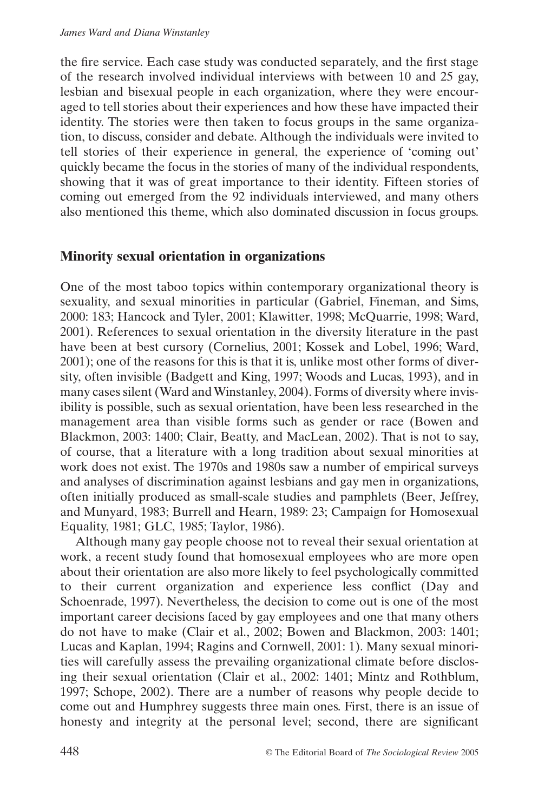the fire service. Each case study was conducted separately, and the first stage of the research involved individual interviews with between 10 and 25 gay, lesbian and bisexual people in each organization, where they were encouraged to tell stories about their experiences and how these have impacted their identity. The stories were then taken to focus groups in the same organization, to discuss, consider and debate. Although the individuals were invited to tell stories of their experience in general, the experience of 'coming out' quickly became the focus in the stories of many of the individual respondents, showing that it was of great importance to their identity. Fifteen stories of coming out emerged from the 92 individuals interviewed, and many others also mentioned this theme, which also dominated discussion in focus groups.

### **Minority sexual orientation in organizations**

One of the most taboo topics within contemporary organizational theory is sexuality, and sexual minorities in particular (Gabriel, Fineman, and Sims, 2000: 183; Hancock and Tyler, 2001; Klawitter, 1998; McQuarrie, 1998; Ward, 2001). References to sexual orientation in the diversity literature in the past have been at best cursory (Cornelius, 2001; Kossek and Lobel, 1996; Ward, 2001); one of the reasons for this is that it is, unlike most other forms of diversity, often invisible (Badgett and King, 1997; Woods and Lucas, 1993), and in many cases silent (Ward and Winstanley, 2004). Forms of diversity where invisibility is possible, such as sexual orientation, have been less researched in the management area than visible forms such as gender or race (Bowen and Blackmon, 2003: 1400; Clair, Beatty, and MacLean, 2002). That is not to say, of course, that a literature with a long tradition about sexual minorities at work does not exist. The 1970s and 1980s saw a number of empirical surveys and analyses of discrimination against lesbians and gay men in organizations, often initially produced as small-scale studies and pamphlets (Beer, Jeffrey, and Munyard, 1983; Burrell and Hearn, 1989: 23; Campaign for Homosexual Equality, 1981; GLC, 1985; Taylor, 1986).

Although many gay people choose not to reveal their sexual orientation at work, a recent study found that homosexual employees who are more open about their orientation are also more likely to feel psychologically committed to their current organization and experience less conflict (Day and Schoenrade, 1997). Nevertheless, the decision to come out is one of the most important career decisions faced by gay employees and one that many others do not have to make (Clair et al., 2002; Bowen and Blackmon, 2003: 1401; Lucas and Kaplan, 1994; Ragins and Cornwell, 2001: 1). Many sexual minorities will carefully assess the prevailing organizational climate before disclosing their sexual orientation (Clair et al., 2002: 1401; Mintz and Rothblum, 1997; Schope, 2002). There are a number of reasons why people decide to come out and Humphrey suggests three main ones. First, there is an issue of honesty and integrity at the personal level; second, there are significant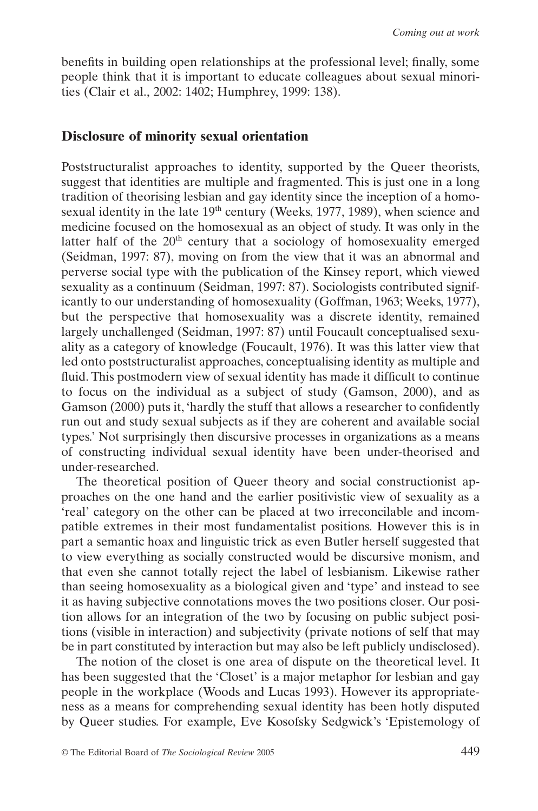benefits in building open relationships at the professional level; finally, some people think that it is important to educate colleagues about sexual minorities (Clair et al., 2002: 1402; Humphrey, 1999: 138).

#### **Disclosure of minority sexual orientation**

Poststructuralist approaches to identity, supported by the Queer theorists, suggest that identities are multiple and fragmented. This is just one in a long tradition of theorising lesbian and gay identity since the inception of a homosexual identity in the late  $19<sup>th</sup>$  century (Weeks, 1977, 1989), when science and medicine focused on the homosexual as an object of study. It was only in the latter half of the  $20<sup>th</sup>$  century that a sociology of homosexuality emerged (Seidman, 1997: 87), moving on from the view that it was an abnormal and perverse social type with the publication of the Kinsey report, which viewed sexuality as a continuum (Seidman, 1997: 87). Sociologists contributed significantly to our understanding of homosexuality (Goffman, 1963; Weeks, 1977), but the perspective that homosexuality was a discrete identity, remained largely unchallenged (Seidman, 1997: 87) until Foucault conceptualised sexuality as a category of knowledge (Foucault, 1976). It was this latter view that led onto poststructuralist approaches, conceptualising identity as multiple and fluid. This postmodern view of sexual identity has made it difficult to continue to focus on the individual as a subject of study (Gamson, 2000), and as Gamson (2000) puts it, 'hardly the stuff that allows a researcher to confidently run out and study sexual subjects as if they are coherent and available social types.' Not surprisingly then discursive processes in organizations as a means of constructing individual sexual identity have been under-theorised and under-researched.

The theoretical position of Queer theory and social constructionist approaches on the one hand and the earlier positivistic view of sexuality as a 'real' category on the other can be placed at two irreconcilable and incompatible extremes in their most fundamentalist positions. However this is in part a semantic hoax and linguistic trick as even Butler herself suggested that to view everything as socially constructed would be discursive monism, and that even she cannot totally reject the label of lesbianism. Likewise rather than seeing homosexuality as a biological given and 'type' and instead to see it as having subjective connotations moves the two positions closer. Our position allows for an integration of the two by focusing on public subject positions (visible in interaction) and subjectivity (private notions of self that may be in part constituted by interaction but may also be left publicly undisclosed).

The notion of the closet is one area of dispute on the theoretical level. It has been suggested that the 'Closet' is a major metaphor for lesbian and gay people in the workplace (Woods and Lucas 1993). However its appropriateness as a means for comprehending sexual identity has been hotly disputed by Queer studies. For example, Eve Kosofsky Sedgwick's 'Epistemology of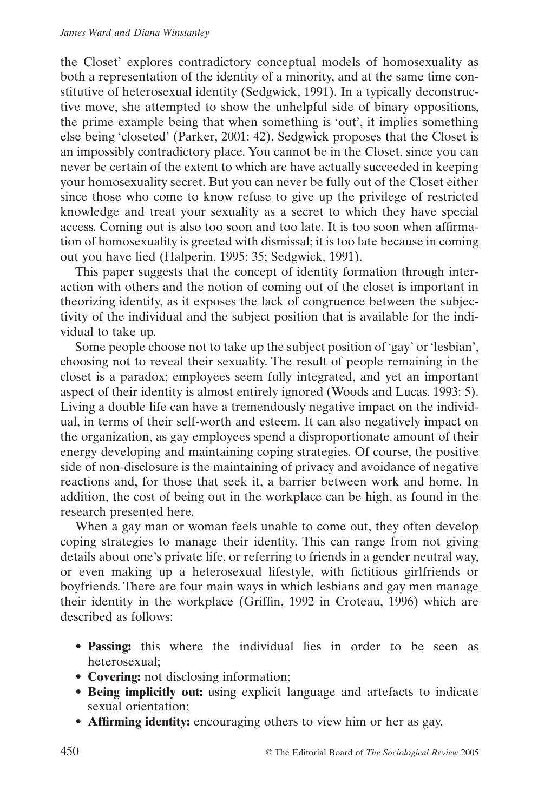the Closet' explores contradictory conceptual models of homosexuality as both a representation of the identity of a minority, and at the same time constitutive of heterosexual identity (Sedgwick, 1991). In a typically deconstructive move, she attempted to show the unhelpful side of binary oppositions, the prime example being that when something is 'out', it implies something else being 'closeted' (Parker, 2001: 42). Sedgwick proposes that the Closet is an impossibly contradictory place. You cannot be in the Closet, since you can never be certain of the extent to which are have actually succeeded in keeping your homosexuality secret. But you can never be fully out of the Closet either since those who come to know refuse to give up the privilege of restricted knowledge and treat your sexuality as a secret to which they have special access. Coming out is also too soon and too late. It is too soon when affirmation of homosexuality is greeted with dismissal; it is too late because in coming out you have lied (Halperin, 1995: 35; Sedgwick, 1991).

This paper suggests that the concept of identity formation through interaction with others and the notion of coming out of the closet is important in theorizing identity, as it exposes the lack of congruence between the subjectivity of the individual and the subject position that is available for the individual to take up.

Some people choose not to take up the subject position of 'gay' or 'lesbian', choosing not to reveal their sexuality. The result of people remaining in the closet is a paradox; employees seem fully integrated, and yet an important aspect of their identity is almost entirely ignored (Woods and Lucas, 1993: 5). Living a double life can have a tremendously negative impact on the individual, in terms of their self-worth and esteem. It can also negatively impact on the organization, as gay employees spend a disproportionate amount of their energy developing and maintaining coping strategies. Of course, the positive side of non-disclosure is the maintaining of privacy and avoidance of negative reactions and, for those that seek it, a barrier between work and home. In addition, the cost of being out in the workplace can be high, as found in the research presented here.

When a gay man or woman feels unable to come out, they often develop coping strategies to manage their identity. This can range from not giving details about one's private life, or referring to friends in a gender neutral way, or even making up a heterosexual lifestyle, with fictitious girlfriends or boyfriends. There are four main ways in which lesbians and gay men manage their identity in the workplace (Griffin, 1992 in Croteau, 1996) which are described as follows:

- **Passing:** this where the individual lies in order to be seen as heterosexual;
- **Covering:** not disclosing information;
- **Being implicitly out:** using explicit language and artefacts to indicate sexual orientation;
- **Affirming identity:** encouraging others to view him or her as gay.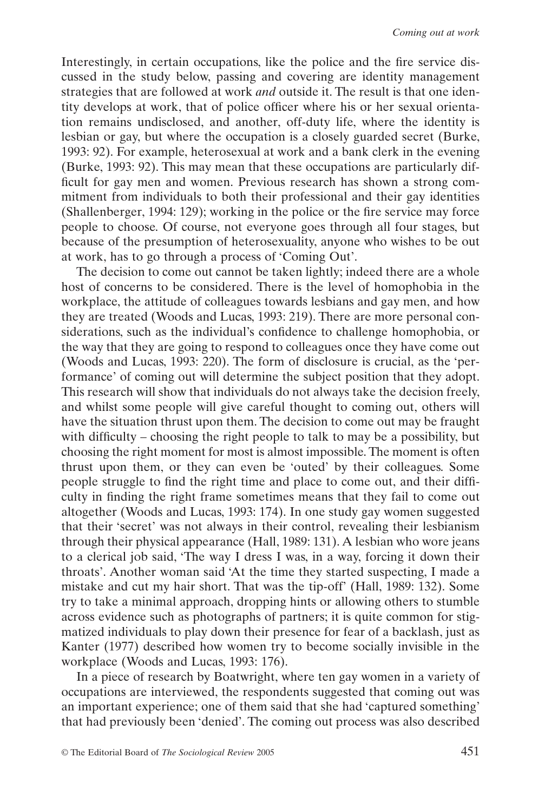Interestingly, in certain occupations, like the police and the fire service discussed in the study below, passing and covering are identity management strategies that are followed at work *and* outside it. The result is that one identity develops at work, that of police officer where his or her sexual orientation remains undisclosed, and another, off-duty life, where the identity is lesbian or gay, but where the occupation is a closely guarded secret (Burke, 1993: 92). For example, heterosexual at work and a bank clerk in the evening (Burke, 1993: 92). This may mean that these occupations are particularly difficult for gay men and women. Previous research has shown a strong commitment from individuals to both their professional and their gay identities (Shallenberger, 1994: 129); working in the police or the fire service may force people to choose. Of course, not everyone goes through all four stages, but because of the presumption of heterosexuality, anyone who wishes to be out at work, has to go through a process of 'Coming Out'.

The decision to come out cannot be taken lightly; indeed there are a whole host of concerns to be considered. There is the level of homophobia in the workplace, the attitude of colleagues towards lesbians and gay men, and how they are treated (Woods and Lucas, 1993: 219). There are more personal considerations, such as the individual's confidence to challenge homophobia, or the way that they are going to respond to colleagues once they have come out (Woods and Lucas, 1993: 220). The form of disclosure is crucial, as the 'performance' of coming out will determine the subject position that they adopt. This research will show that individuals do not always take the decision freely, and whilst some people will give careful thought to coming out, others will have the situation thrust upon them. The decision to come out may be fraught with difficulty – choosing the right people to talk to may be a possibility, but choosing the right moment for most is almost impossible. The moment is often thrust upon them, or they can even be 'outed' by their colleagues. Some people struggle to find the right time and place to come out, and their difficulty in finding the right frame sometimes means that they fail to come out altogether (Woods and Lucas, 1993: 174). In one study gay women suggested that their 'secret' was not always in their control, revealing their lesbianism through their physical appearance (Hall, 1989: 131). A lesbian who wore jeans to a clerical job said, 'The way I dress I was, in a way, forcing it down their throats'. Another woman said 'At the time they started suspecting, I made a mistake and cut my hair short. That was the tip-off' (Hall, 1989: 132). Some try to take a minimal approach, dropping hints or allowing others to stumble across evidence such as photographs of partners; it is quite common for stigmatized individuals to play down their presence for fear of a backlash, just as Kanter (1977) described how women try to become socially invisible in the workplace (Woods and Lucas, 1993: 176).

In a piece of research by Boatwright, where ten gay women in a variety of occupations are interviewed, the respondents suggested that coming out was an important experience; one of them said that she had 'captured something' that had previously been 'denied'. The coming out process was also described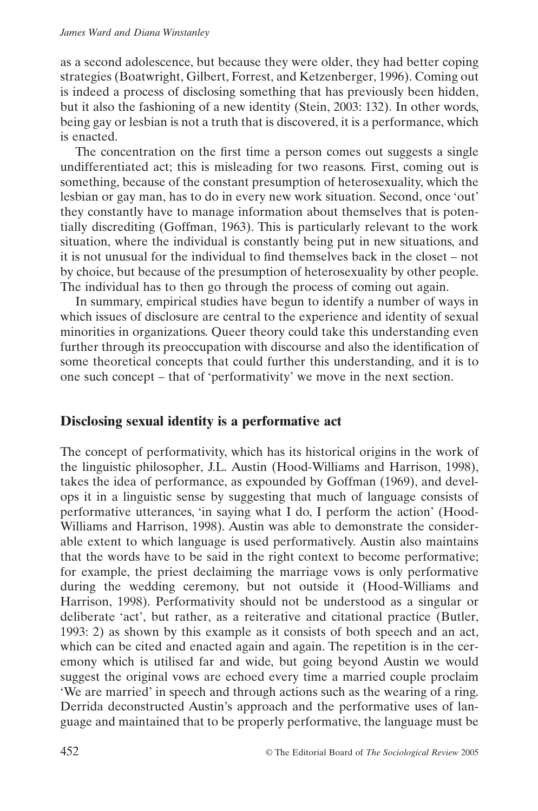#### *James Ward and Diana Winstanley*

as a second adolescence, but because they were older, they had better coping strategies (Boatwright, Gilbert, Forrest, and Ketzenberger, 1996). Coming out is indeed a process of disclosing something that has previously been hidden, but it also the fashioning of a new identity (Stein, 2003: 132). In other words, being gay or lesbian is not a truth that is discovered, it is a performance, which is enacted.

The concentration on the first time a person comes out suggests a single undifferentiated act; this is misleading for two reasons. First, coming out is something, because of the constant presumption of heterosexuality, which the lesbian or gay man, has to do in every new work situation. Second, once 'out' they constantly have to manage information about themselves that is potentially discrediting (Goffman, 1963). This is particularly relevant to the work situation, where the individual is constantly being put in new situations, and it is not unusual for the individual to find themselves back in the closet – not by choice, but because of the presumption of heterosexuality by other people. The individual has to then go through the process of coming out again.

In summary, empirical studies have begun to identify a number of ways in which issues of disclosure are central to the experience and identity of sexual minorities in organizations. Queer theory could take this understanding even further through its preoccupation with discourse and also the identification of some theoretical concepts that could further this understanding, and it is to one such concept – that of 'performativity' we move in the next section.

### **Disclosing sexual identity is a performative act**

The concept of performativity, which has its historical origins in the work of the linguistic philosopher, J.L. Austin (Hood-Williams and Harrison, 1998), takes the idea of performance, as expounded by Goffman (1969), and develops it in a linguistic sense by suggesting that much of language consists of performative utterances, 'in saying what I do, I perform the action' (Hood-Williams and Harrison, 1998). Austin was able to demonstrate the considerable extent to which language is used performatively. Austin also maintains that the words have to be said in the right context to become performative; for example, the priest declaiming the marriage vows is only performative during the wedding ceremony, but not outside it (Hood-Williams and Harrison, 1998). Performativity should not be understood as a singular or deliberate 'act', but rather, as a reiterative and citational practice (Butler, 1993: 2) as shown by this example as it consists of both speech and an act, which can be cited and enacted again and again. The repetition is in the ceremony which is utilised far and wide, but going beyond Austin we would suggest the original vows are echoed every time a married couple proclaim 'We are married' in speech and through actions such as the wearing of a ring. Derrida deconstructed Austin's approach and the performative uses of language and maintained that to be properly performative, the language must be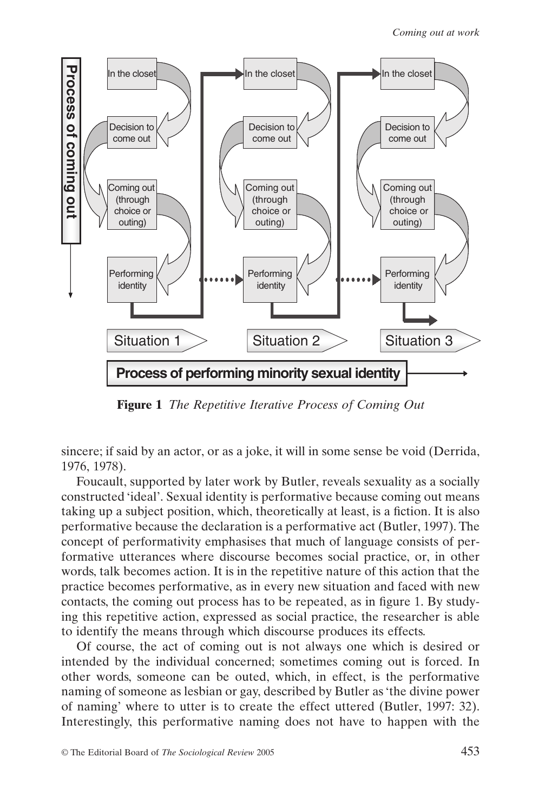

**Figure 1** *The Repetitive Iterative Process of Coming Out*

sincere; if said by an actor, or as a joke, it will in some sense be void (Derrida, 1976, 1978).

Foucault, supported by later work by Butler, reveals sexuality as a socially constructed 'ideal'. Sexual identity is performative because coming out means taking up a subject position, which, theoretically at least, is a fiction. It is also performative because the declaration is a performative act (Butler, 1997). The concept of performativity emphasises that much of language consists of performative utterances where discourse becomes social practice, or, in other words, talk becomes action. It is in the repetitive nature of this action that the practice becomes performative, as in every new situation and faced with new contacts, the coming out process has to be repeated, as in figure 1. By studying this repetitive action, expressed as social practice, the researcher is able to identify the means through which discourse produces its effects.

Of course, the act of coming out is not always one which is desired or intended by the individual concerned; sometimes coming out is forced. In other words, someone can be outed, which, in effect, is the performative naming of someone as lesbian or gay, described by Butler as 'the divine power of naming' where to utter is to create the effect uttered (Butler, 1997: 32). Interestingly, this performative naming does not have to happen with the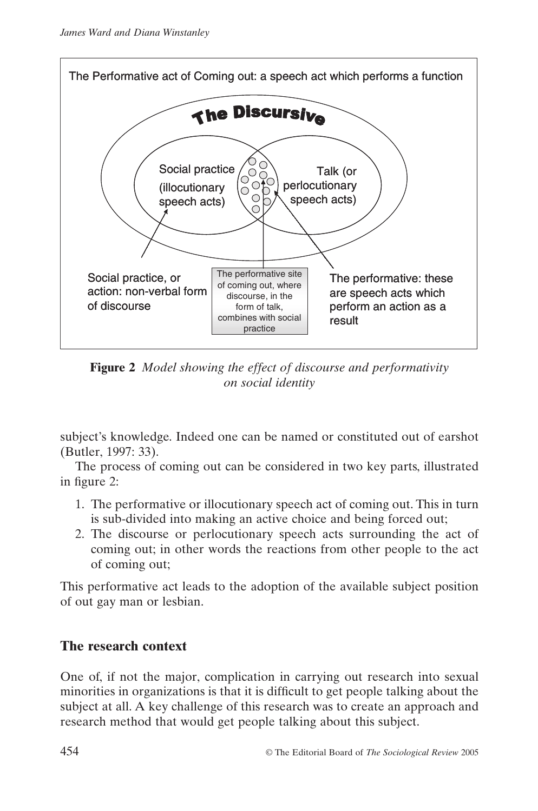

**Figure 2** *Model showing the effect of discourse and performativity on social identity*

subject's knowledge. Indeed one can be named or constituted out of earshot (Butler, 1997: 33).

The process of coming out can be considered in two key parts, illustrated in figure 2:

- 1. The performative or illocutionary speech act of coming out. This in turn is sub-divided into making an active choice and being forced out;
- 2. The discourse or perlocutionary speech acts surrounding the act of coming out; in other words the reactions from other people to the act of coming out;

This performative act leads to the adoption of the available subject position of out gay man or lesbian.

## **The research context**

One of, if not the major, complication in carrying out research into sexual minorities in organizations is that it is difficult to get people talking about the subject at all. A key challenge of this research was to create an approach and research method that would get people talking about this subject.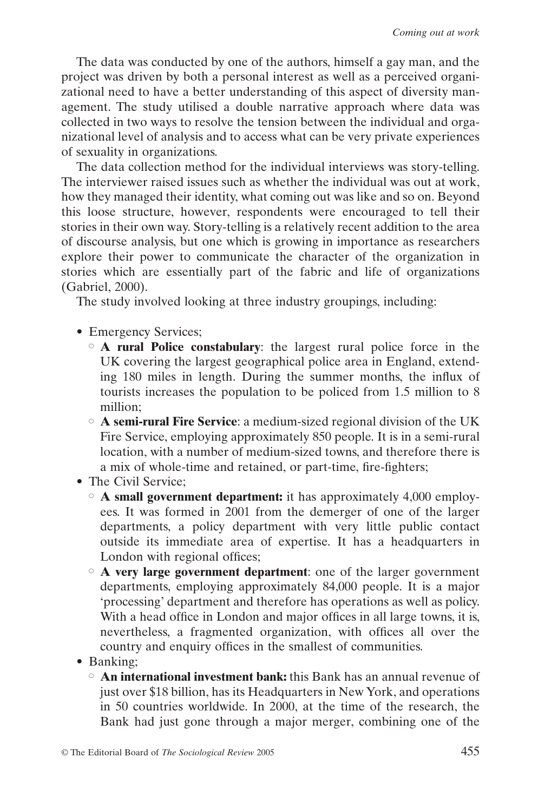The data was conducted by one of the authors, himself a gay man, and the project was driven by both a personal interest as well as a perceived organizational need to have a better understanding of this aspect of diversity management. The study utilised a double narrative approach where data was collected in two ways to resolve the tension between the individual and organizational level of analysis and to access what can be very private experiences of sexuality in organizations.

The data collection method for the individual interviews was story-telling. The interviewer raised issues such as whether the individual was out at work, how they managed their identity, what coming out was like and so on. Beyond this loose structure, however, respondents were encouraged to tell their stories in their own way. Story-telling is a relatively recent addition to the area of discourse analysis, but one which is growing in importance as researchers explore their power to communicate the character of the organization in stories which are essentially part of the fabric and life of organizations (Gabriel, 2000).

The study involved looking at three industry groupings, including:

• Emergency Services;

- **A rural Police constabulary**: the largest rural police force in the UK covering the largest geographical police area in England, extending 180 miles in length. During the summer months, the influx of tourists increases the population to be policed from 1.5 million to 8 million;
- **A semi-rural Fire Service**: a medium-sized regional division of the UK Fire Service, employing approximately 850 people. It is in a semi-rural location, with a number of medium-sized towns, and therefore there is a mix of whole-time and retained, or part-time, fire-fighters;
- The Civil Service:
	- **A small government department:** it has approximately 4,000 employees. It was formed in 2001 from the demerger of one of the larger departments, a policy department with very little public contact outside its immediate area of expertise. It has a headquarters in London with regional offices;
	- **A very large government department**: one of the larger government departments, employing approximately 84,000 people. It is a major 'processing' department and therefore has operations as well as policy. With a head office in London and major offices in all large towns, it is, nevertheless, a fragmented organization, with offices all over the country and enquiry offices in the smallest of communities.
- Banking;
	- **An international investment bank:** this Bank has an annual revenue of just over \$18 billion, has its Headquarters in New York, and operations in 50 countries worldwide. In 2000, at the time of the research, the Bank had just gone through a major merger, combining one of the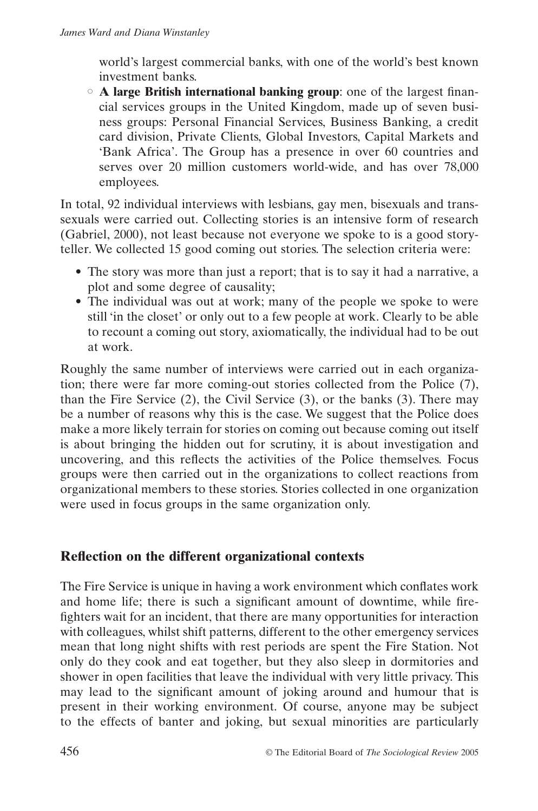world's largest commercial banks, with one of the world's best known investment banks.

- **A large British international banking group**: one of the largest financial services groups in the United Kingdom, made up of seven business groups: Personal Financial Services, Business Banking, a credit card division, Private Clients, Global Investors, Capital Markets and 'Bank Africa'. The Group has a presence in over 60 countries and serves over 20 million customers world-wide, and has over 78,000 employees.

In total, 92 individual interviews with lesbians, gay men, bisexuals and transsexuals were carried out. Collecting stories is an intensive form of research (Gabriel, 2000), not least because not everyone we spoke to is a good storyteller. We collected 15 good coming out stories. The selection criteria were:

- The story was more than just a report; that is to say it had a narrative, a plot and some degree of causality;
- The individual was out at work; many of the people we spoke to were still 'in the closet' or only out to a few people at work. Clearly to be able to recount a coming out story, axiomatically, the individual had to be out at work.

Roughly the same number of interviews were carried out in each organization; there were far more coming-out stories collected from the Police (7), than the Fire Service (2), the Civil Service (3), or the banks (3). There may be a number of reasons why this is the case. We suggest that the Police does make a more likely terrain for stories on coming out because coming out itself is about bringing the hidden out for scrutiny, it is about investigation and uncovering, and this reflects the activities of the Police themselves. Focus groups were then carried out in the organizations to collect reactions from organizational members to these stories. Stories collected in one organization were used in focus groups in the same organization only.

## **Reflection on the different organizational contexts**

The Fire Service is unique in having a work environment which conflates work and home life; there is such a significant amount of downtime, while firefighters wait for an incident, that there are many opportunities for interaction with colleagues, whilst shift patterns, different to the other emergency services mean that long night shifts with rest periods are spent the Fire Station. Not only do they cook and eat together, but they also sleep in dormitories and shower in open facilities that leave the individual with very little privacy. This may lead to the significant amount of joking around and humour that is present in their working environment. Of course, anyone may be subject to the effects of banter and joking, but sexual minorities are particularly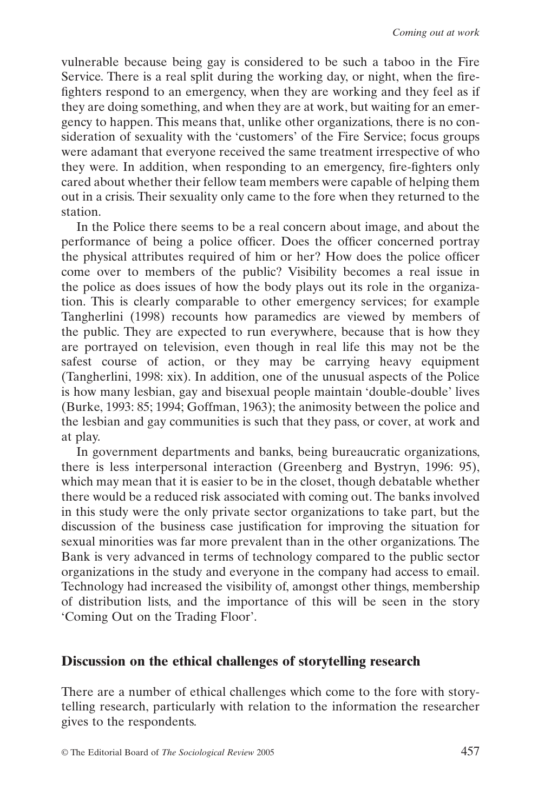vulnerable because being gay is considered to be such a taboo in the Fire Service. There is a real split during the working day, or night, when the firefighters respond to an emergency, when they are working and they feel as if they are doing something, and when they are at work, but waiting for an emergency to happen. This means that, unlike other organizations, there is no consideration of sexuality with the 'customers' of the Fire Service; focus groups were adamant that everyone received the same treatment irrespective of who they were. In addition, when responding to an emergency, fire-fighters only cared about whether their fellow team members were capable of helping them out in a crisis. Their sexuality only came to the fore when they returned to the station.

In the Police there seems to be a real concern about image, and about the performance of being a police officer. Does the officer concerned portray the physical attributes required of him or her? How does the police officer come over to members of the public? Visibility becomes a real issue in the police as does issues of how the body plays out its role in the organization. This is clearly comparable to other emergency services; for example Tangherlini (1998) recounts how paramedics are viewed by members of the public. They are expected to run everywhere, because that is how they are portrayed on television, even though in real life this may not be the safest course of action, or they may be carrying heavy equipment (Tangherlini, 1998: xix). In addition, one of the unusual aspects of the Police is how many lesbian, gay and bisexual people maintain 'double-double' lives (Burke, 1993: 85; 1994; Goffman, 1963); the animosity between the police and the lesbian and gay communities is such that they pass, or cover, at work and at play.

In government departments and banks, being bureaucratic organizations, there is less interpersonal interaction (Greenberg and Bystryn, 1996: 95), which may mean that it is easier to be in the closet, though debatable whether there would be a reduced risk associated with coming out. The banks involved in this study were the only private sector organizations to take part, but the discussion of the business case justification for improving the situation for sexual minorities was far more prevalent than in the other organizations. The Bank is very advanced in terms of technology compared to the public sector organizations in the study and everyone in the company had access to email. Technology had increased the visibility of, amongst other things, membership of distribution lists, and the importance of this will be seen in the story 'Coming Out on the Trading Floor'.

### **Discussion on the ethical challenges of storytelling research**

There are a number of ethical challenges which come to the fore with storytelling research, particularly with relation to the information the researcher gives to the respondents.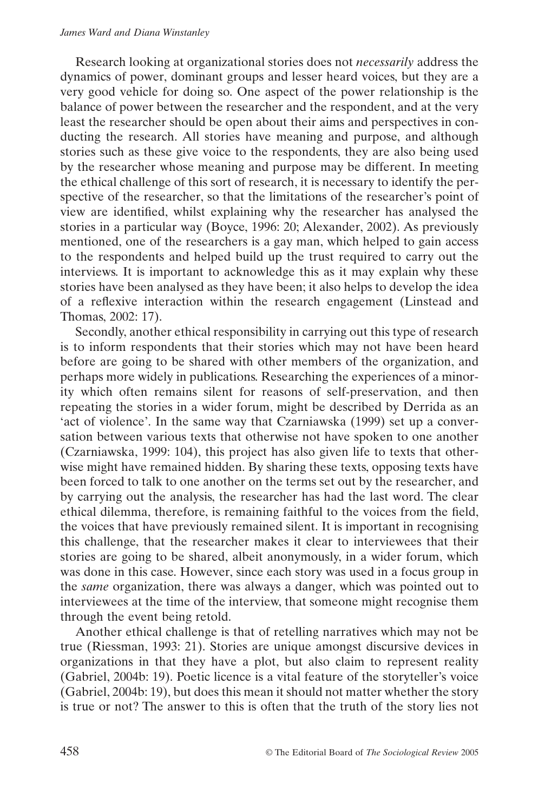#### *James Ward and Diana Winstanley*

Research looking at organizational stories does not *necessarily* address the dynamics of power, dominant groups and lesser heard voices, but they are a very good vehicle for doing so. One aspect of the power relationship is the balance of power between the researcher and the respondent, and at the very least the researcher should be open about their aims and perspectives in conducting the research. All stories have meaning and purpose, and although stories such as these give voice to the respondents, they are also being used by the researcher whose meaning and purpose may be different. In meeting the ethical challenge of this sort of research, it is necessary to identify the perspective of the researcher, so that the limitations of the researcher's point of view are identified, whilst explaining why the researcher has analysed the stories in a particular way (Boyce, 1996: 20; Alexander, 2002). As previously mentioned, one of the researchers is a gay man, which helped to gain access to the respondents and helped build up the trust required to carry out the interviews. It is important to acknowledge this as it may explain why these stories have been analysed as they have been; it also helps to develop the idea of a reflexive interaction within the research engagement (Linstead and Thomas, 2002: 17).

Secondly, another ethical responsibility in carrying out this type of research is to inform respondents that their stories which may not have been heard before are going to be shared with other members of the organization, and perhaps more widely in publications. Researching the experiences of a minority which often remains silent for reasons of self-preservation, and then repeating the stories in a wider forum, might be described by Derrida as an 'act of violence'. In the same way that Czarniawska (1999) set up a conversation between various texts that otherwise not have spoken to one another (Czarniawska, 1999: 104), this project has also given life to texts that otherwise might have remained hidden. By sharing these texts, opposing texts have been forced to talk to one another on the terms set out by the researcher, and by carrying out the analysis, the researcher has had the last word. The clear ethical dilemma, therefore, is remaining faithful to the voices from the field, the voices that have previously remained silent. It is important in recognising this challenge, that the researcher makes it clear to interviewees that their stories are going to be shared, albeit anonymously, in a wider forum, which was done in this case. However, since each story was used in a focus group in the *same* organization, there was always a danger, which was pointed out to interviewees at the time of the interview, that someone might recognise them through the event being retold.

Another ethical challenge is that of retelling narratives which may not be true (Riessman, 1993: 21). Stories are unique amongst discursive devices in organizations in that they have a plot, but also claim to represent reality (Gabriel, 2004b: 19). Poetic licence is a vital feature of the storyteller's voice (Gabriel, 2004b: 19), but does this mean it should not matter whether the story is true or not? The answer to this is often that the truth of the story lies not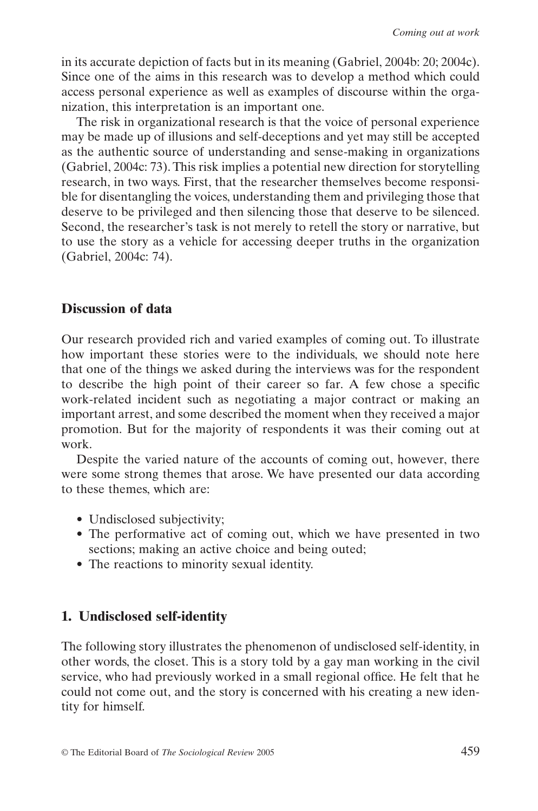in its accurate depiction of facts but in its meaning (Gabriel, 2004b: 20; 2004c). Since one of the aims in this research was to develop a method which could access personal experience as well as examples of discourse within the organization, this interpretation is an important one.

The risk in organizational research is that the voice of personal experience may be made up of illusions and self-deceptions and yet may still be accepted as the authentic source of understanding and sense-making in organizations (Gabriel, 2004c: 73). This risk implies a potential new direction for storytelling research, in two ways. First, that the researcher themselves become responsible for disentangling the voices, understanding them and privileging those that deserve to be privileged and then silencing those that deserve to be silenced. Second, the researcher's task is not merely to retell the story or narrative, but to use the story as a vehicle for accessing deeper truths in the organization (Gabriel, 2004c: 74).

### **Discussion of data**

Our research provided rich and varied examples of coming out. To illustrate how important these stories were to the individuals, we should note here that one of the things we asked during the interviews was for the respondent to describe the high point of their career so far. A few chose a specific work-related incident such as negotiating a major contract or making an important arrest, and some described the moment when they received a major promotion. But for the majority of respondents it was their coming out at work.

Despite the varied nature of the accounts of coming out, however, there were some strong themes that arose. We have presented our data according to these themes, which are:

- Undisclosed subjectivity;
- The performative act of coming out, which we have presented in two sections; making an active choice and being outed;
- The reactions to minority sexual identity.

## **1. Undisclosed self-identity**

The following story illustrates the phenomenon of undisclosed self-identity, in other words, the closet. This is a story told by a gay man working in the civil service, who had previously worked in a small regional office. He felt that he could not come out, and the story is concerned with his creating a new identity for himself.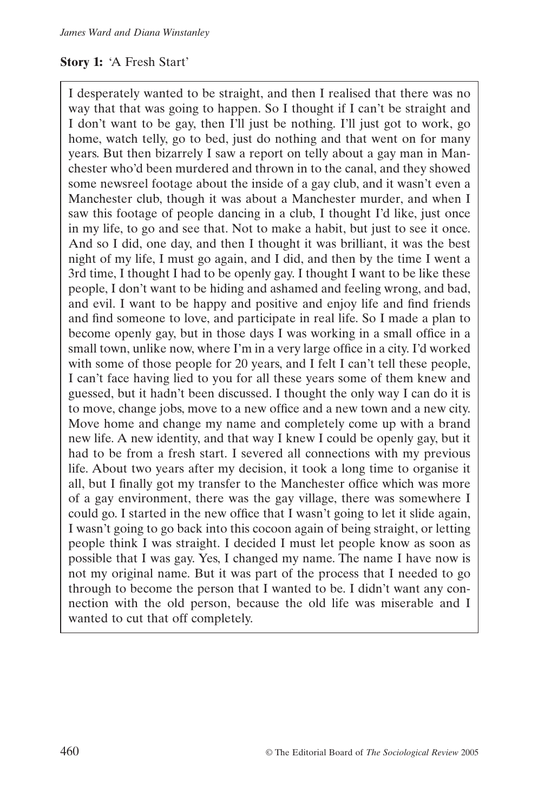### **Story 1:** 'A Fresh Start'

I desperately wanted to be straight, and then I realised that there was no way that that was going to happen. So I thought if I can't be straight and I don't want to be gay, then I'll just be nothing. I'll just got to work, go home, watch telly, go to bed, just do nothing and that went on for many years. But then bizarrely I saw a report on telly about a gay man in Manchester who'd been murdered and thrown in to the canal, and they showed some newsreel footage about the inside of a gay club, and it wasn't even a Manchester club, though it was about a Manchester murder, and when I saw this footage of people dancing in a club, I thought I'd like, just once in my life, to go and see that. Not to make a habit, but just to see it once. And so I did, one day, and then I thought it was brilliant, it was the best night of my life, I must go again, and I did, and then by the time I went a 3rd time, I thought I had to be openly gay. I thought I want to be like these people, I don't want to be hiding and ashamed and feeling wrong, and bad, and evil. I want to be happy and positive and enjoy life and find friends and find someone to love, and participate in real life. So I made a plan to become openly gay, but in those days I was working in a small office in a small town, unlike now, where I'm in a very large office in a city. I'd worked with some of those people for 20 years, and I felt I can't tell these people, I can't face having lied to you for all these years some of them knew and guessed, but it hadn't been discussed. I thought the only way I can do it is to move, change jobs, move to a new office and a new town and a new city. Move home and change my name and completely come up with a brand new life. A new identity, and that way I knew I could be openly gay, but it had to be from a fresh start. I severed all connections with my previous life. About two years after my decision, it took a long time to organise it all, but I finally got my transfer to the Manchester office which was more of a gay environment, there was the gay village, there was somewhere I could go. I started in the new office that I wasn't going to let it slide again, I wasn't going to go back into this cocoon again of being straight, or letting people think I was straight. I decided I must let people know as soon as possible that I was gay. Yes, I changed my name. The name I have now is not my original name. But it was part of the process that I needed to go through to become the person that I wanted to be. I didn't want any connection with the old person, because the old life was miserable and I wanted to cut that off completely.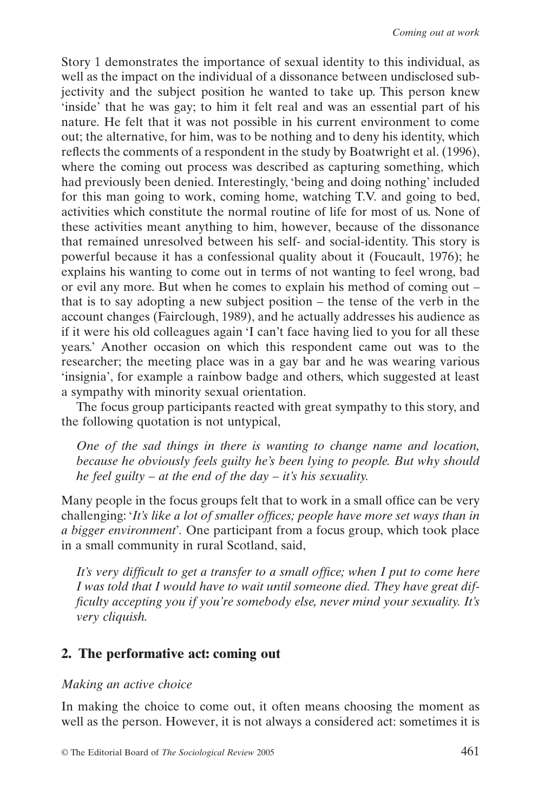Story 1 demonstrates the importance of sexual identity to this individual, as well as the impact on the individual of a dissonance between undisclosed subjectivity and the subject position he wanted to take up. This person knew 'inside' that he was gay; to him it felt real and was an essential part of his nature. He felt that it was not possible in his current environment to come out; the alternative, for him, was to be nothing and to deny his identity, which reflects the comments of a respondent in the study by Boatwright et al. (1996), where the coming out process was described as capturing something, which had previously been denied. Interestingly, 'being and doing nothing' included for this man going to work, coming home, watching T.V. and going to bed, activities which constitute the normal routine of life for most of us. None of these activities meant anything to him, however, because of the dissonance that remained unresolved between his self- and social-identity. This story is powerful because it has a confessional quality about it (Foucault, 1976); he explains his wanting to come out in terms of not wanting to feel wrong, bad or evil any more. But when he comes to explain his method of coming out – that is to say adopting a new subject position – the tense of the verb in the account changes (Fairclough, 1989), and he actually addresses his audience as if it were his old colleagues again 'I can't face having lied to you for all these years.' Another occasion on which this respondent came out was to the researcher; the meeting place was in a gay bar and he was wearing various 'insignia', for example a rainbow badge and others, which suggested at least a sympathy with minority sexual orientation.

The focus group participants reacted with great sympathy to this story, and the following quotation is not untypical,

*One of the sad things in there is wanting to change name and location, because he obviously feels guilty he's been lying to people. But why should he feel guilty – at the end of the day – it's his sexuality.*

Many people in the focus groups felt that to work in a small office can be very challenging: '*It's like a lot of smaller offices; people have more set ways than in a bigger environment*'*.* One participant from a focus group, which took place in a small community in rural Scotland, said,

*It's very difficult to get a transfer to a small office; when I put to come here I was told that I would have to wait until someone died. They have great difficulty accepting you if you're somebody else, never mind your sexuality. It's very cliquish.*

### **2. The performative act: coming out**

#### *Making an active choice*

In making the choice to come out, it often means choosing the moment as well as the person. However, it is not always a considered act: sometimes it is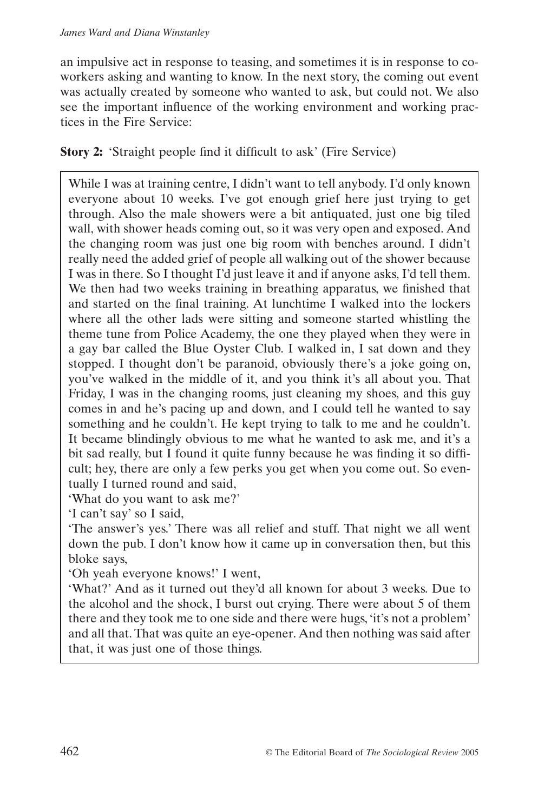an impulsive act in response to teasing, and sometimes it is in response to coworkers asking and wanting to know. In the next story, the coming out event was actually created by someone who wanted to ask, but could not. We also see the important influence of the working environment and working practices in the Fire Service:

**Story 2:** 'Straight people find it difficult to ask' (Fire Service)

While I was at training centre, I didn't want to tell anybody. I'd only known everyone about 10 weeks. I've got enough grief here just trying to get through. Also the male showers were a bit antiquated, just one big tiled wall, with shower heads coming out, so it was very open and exposed. And the changing room was just one big room with benches around. I didn't really need the added grief of people all walking out of the shower because I was in there. So I thought I'd just leave it and if anyone asks, I'd tell them. We then had two weeks training in breathing apparatus, we finished that and started on the final training. At lunchtime I walked into the lockers where all the other lads were sitting and someone started whistling the theme tune from Police Academy, the one they played when they were in a gay bar called the Blue Oyster Club. I walked in, I sat down and they stopped. I thought don't be paranoid, obviously there's a joke going on, you've walked in the middle of it, and you think it's all about you. That Friday, I was in the changing rooms, just cleaning my shoes, and this guy comes in and he's pacing up and down, and I could tell he wanted to say something and he couldn't. He kept trying to talk to me and he couldn't. It became blindingly obvious to me what he wanted to ask me, and it's a bit sad really, but I found it quite funny because he was finding it so difficult; hey, there are only a few perks you get when you come out. So eventually I turned round and said,

'What do you want to ask me?'

'I can't say' so I said,

'The answer's yes.' There was all relief and stuff. That night we all went down the pub. I don't know how it came up in conversation then, but this bloke says,

'Oh yeah everyone knows!' I went,

'What?' And as it turned out they'd all known for about 3 weeks. Due to the alcohol and the shock, I burst out crying. There were about 5 of them there and they took me to one side and there were hugs, 'it's not a problem' and all that. That was quite an eye-opener. And then nothing was said after that, it was just one of those things.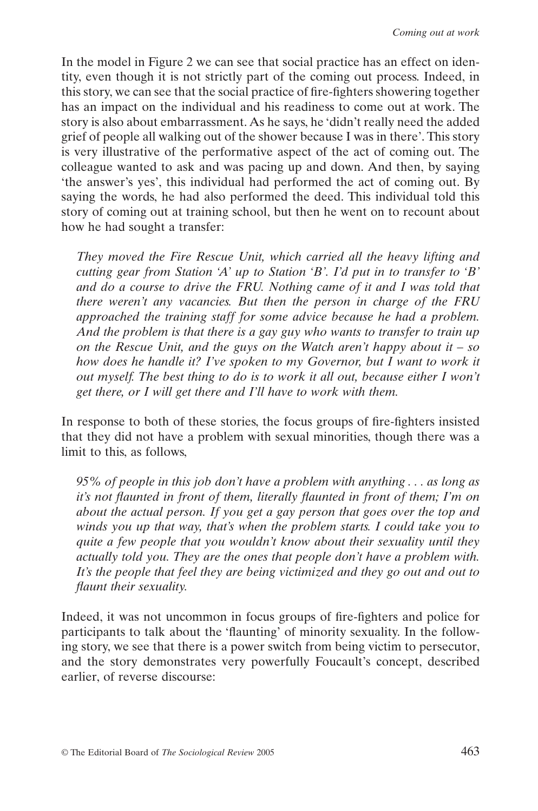In the model in Figure 2 we can see that social practice has an effect on identity, even though it is not strictly part of the coming out process. Indeed, in this story, we can see that the social practice of fire-fighters showering together has an impact on the individual and his readiness to come out at work. The story is also about embarrassment. As he says, he 'didn't really need the added grief of people all walking out of the shower because I was in there'. This story is very illustrative of the performative aspect of the act of coming out. The colleague wanted to ask and was pacing up and down. And then, by saying 'the answer's yes', this individual had performed the act of coming out. By saying the words, he had also performed the deed. This individual told this story of coming out at training school, but then he went on to recount about how he had sought a transfer:

*They moved the Fire Rescue Unit, which carried all the heavy lifting and cutting gear from Station 'A' up to Station 'B'. I'd put in to transfer to 'B' and do a course to drive the FRU. Nothing came of it and I was told that there weren't any vacancies. But then the person in charge of the FRU approached the training staff for some advice because he had a problem. And the problem is that there is a gay guy who wants to transfer to train up on the Rescue Unit, and the guys on the Watch aren't happy about it – so how does he handle it? I've spoken to my Governor, but I want to work it out myself. The best thing to do is to work it all out, because either I won't get there, or I will get there and I'll have to work with them.*

In response to both of these stories, the focus groups of fire-fighters insisted that they did not have a problem with sexual minorities, though there was a limit to this, as follows,

*95% of people in this job don't have a problem with anything . . . as long as it's not flaunted in front of them, literally flaunted in front of them; I'm on about the actual person. If you get a gay person that goes over the top and winds you up that way, that's when the problem starts. I could take you to quite a few people that you wouldn't know about their sexuality until they actually told you. They are the ones that people don't have a problem with. It's the people that feel they are being victimized and they go out and out to flaunt their sexuality.*

Indeed, it was not uncommon in focus groups of fire-fighters and police for participants to talk about the 'flaunting' of minority sexuality. In the following story, we see that there is a power switch from being victim to persecutor, and the story demonstrates very powerfully Foucault's concept, described earlier, of reverse discourse: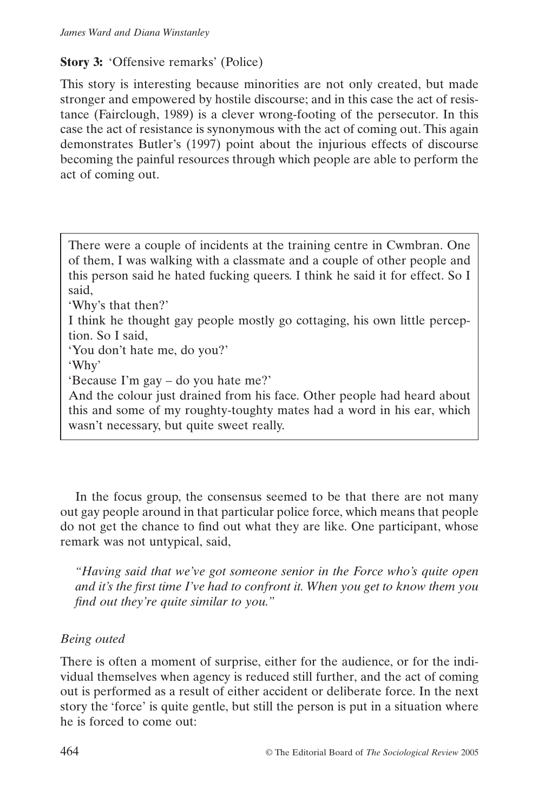### **Story 3:** 'Offensive remarks' (Police)

This story is interesting because minorities are not only created, but made stronger and empowered by hostile discourse; and in this case the act of resistance (Fairclough, 1989) is a clever wrong-footing of the persecutor. In this case the act of resistance is synonymous with the act of coming out. This again demonstrates Butler's (1997) point about the injurious effects of discourse becoming the painful resources through which people are able to perform the act of coming out.

There were a couple of incidents at the training centre in Cwmbran. One of them, I was walking with a classmate and a couple of other people and this person said he hated fucking queers. I think he said it for effect. So I said,

'Why's that then?'

I think he thought gay people mostly go cottaging, his own little perception. So I said,

'You don't hate me, do you?'

'Why'

'Because I'm gay – do you hate me?'

And the colour just drained from his face. Other people had heard about this and some of my roughty-toughty mates had a word in his ear, which wasn't necessary, but quite sweet really.

In the focus group, the consensus seemed to be that there are not many out gay people around in that particular police force, which means that people do not get the chance to find out what they are like. One participant, whose remark was not untypical, said,

*"Having said that we've got someone senior in the Force who's quite open and it's the first time I've had to confront it. When you get to know them you find out they're quite similar to you."*

### *Being outed*

There is often a moment of surprise, either for the audience, or for the individual themselves when agency is reduced still further, and the act of coming out is performed as a result of either accident or deliberate force. In the next story the 'force' is quite gentle, but still the person is put in a situation where he is forced to come out: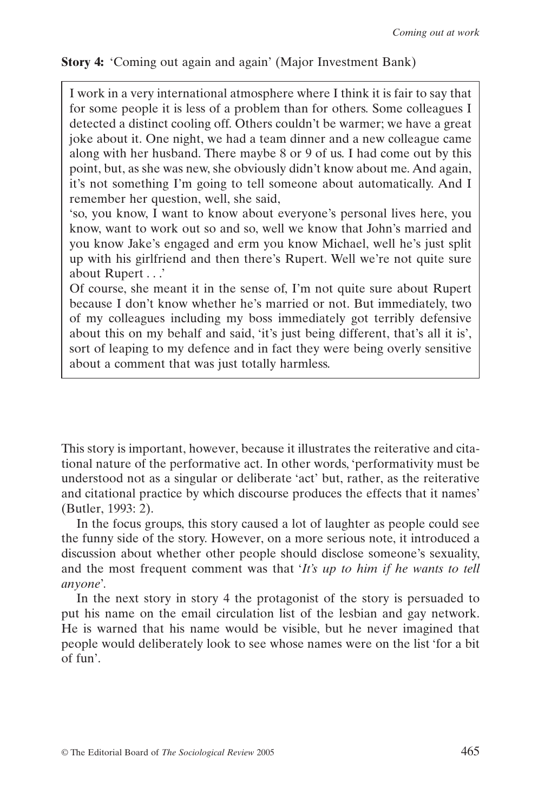#### **Story 4:** 'Coming out again and again' (Major Investment Bank)

I work in a very international atmosphere where I think it is fair to say that for some people it is less of a problem than for others. Some colleagues I detected a distinct cooling off. Others couldn't be warmer; we have a great joke about it. One night, we had a team dinner and a new colleague came along with her husband. There maybe 8 or 9 of us. I had come out by this point, but, as she was new, she obviously didn't know about me. And again, it's not something I'm going to tell someone about automatically. And I remember her question, well, she said,

'so, you know, I want to know about everyone's personal lives here, you know, want to work out so and so, well we know that John's married and you know Jake's engaged and erm you know Michael, well he's just split up with his girlfriend and then there's Rupert. Well we're not quite sure about Rupert . . .'

Of course, she meant it in the sense of, I'm not quite sure about Rupert because I don't know whether he's married or not. But immediately, two of my colleagues including my boss immediately got terribly defensive about this on my behalf and said, 'it's just being different, that's all it is', sort of leaping to my defence and in fact they were being overly sensitive about a comment that was just totally harmless.

This story is important, however, because it illustrates the reiterative and citational nature of the performative act. In other words, 'performativity must be understood not as a singular or deliberate 'act' but, rather, as the reiterative and citational practice by which discourse produces the effects that it names' (Butler, 1993: 2).

In the focus groups, this story caused a lot of laughter as people could see the funny side of the story. However, on a more serious note, it introduced a discussion about whether other people should disclose someone's sexuality, and the most frequent comment was that '*It's up to him if he wants to tell anyone*'*.*

In the next story in story 4 the protagonist of the story is persuaded to put his name on the email circulation list of the lesbian and gay network. He is warned that his name would be visible, but he never imagined that people would deliberately look to see whose names were on the list 'for a bit of fun'.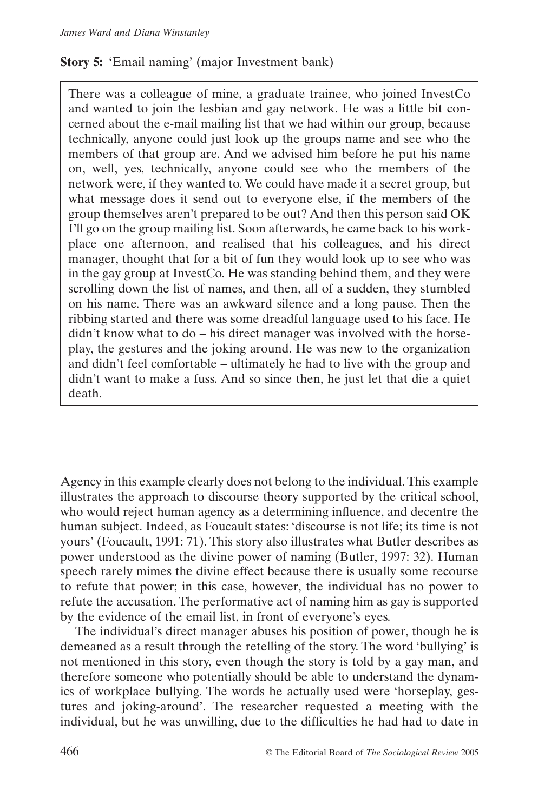#### **Story 5:** 'Email naming' (major Investment bank)

There was a colleague of mine, a graduate trainee, who joined InvestCo and wanted to join the lesbian and gay network. He was a little bit concerned about the e-mail mailing list that we had within our group, because technically, anyone could just look up the groups name and see who the members of that group are. And we advised him before he put his name on, well, yes, technically, anyone could see who the members of the network were, if they wanted to. We could have made it a secret group, but what message does it send out to everyone else, if the members of the group themselves aren't prepared to be out? And then this person said OK I'll go on the group mailing list. Soon afterwards, he came back to his workplace one afternoon, and realised that his colleagues, and his direct manager, thought that for a bit of fun they would look up to see who was in the gay group at InvestCo. He was standing behind them, and they were scrolling down the list of names, and then, all of a sudden, they stumbled on his name. There was an awkward silence and a long pause. Then the ribbing started and there was some dreadful language used to his face. He didn't know what to do – his direct manager was involved with the horseplay, the gestures and the joking around. He was new to the organization and didn't feel comfortable – ultimately he had to live with the group and didn't want to make a fuss. And so since then, he just let that die a quiet death.

Agency in this example clearly does not belong to the individual. This example illustrates the approach to discourse theory supported by the critical school, who would reject human agency as a determining influence, and decentre the human subject. Indeed, as Foucault states: 'discourse is not life; its time is not yours' (Foucault, 1991: 71). This story also illustrates what Butler describes as power understood as the divine power of naming (Butler, 1997: 32). Human speech rarely mimes the divine effect because there is usually some recourse to refute that power; in this case, however, the individual has no power to refute the accusation. The performative act of naming him as gay is supported by the evidence of the email list, in front of everyone's eyes.

The individual's direct manager abuses his position of power, though he is demeaned as a result through the retelling of the story. The word 'bullying' is not mentioned in this story, even though the story is told by a gay man, and therefore someone who potentially should be able to understand the dynamics of workplace bullying. The words he actually used were 'horseplay, gestures and joking-around'. The researcher requested a meeting with the individual, but he was unwilling, due to the difficulties he had had to date in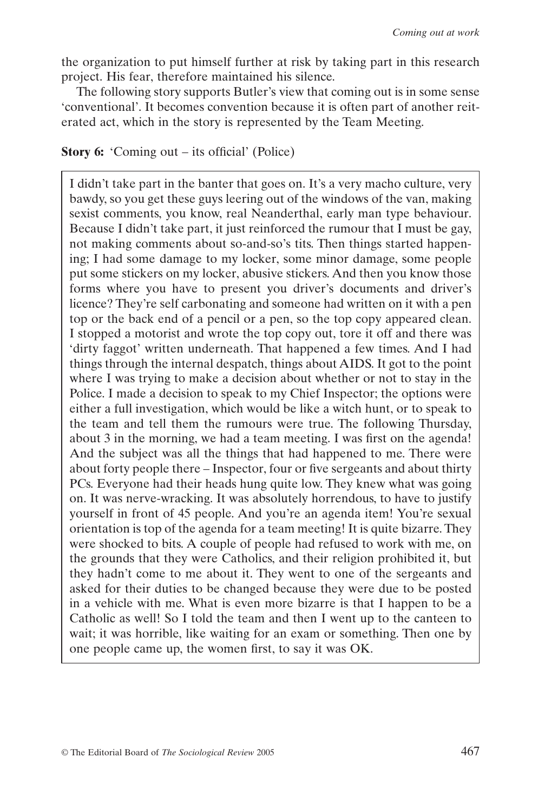the organization to put himself further at risk by taking part in this research project. His fear, therefore maintained his silence.

The following story supports Butler's view that coming out is in some sense 'conventional'. It becomes convention because it is often part of another reiterated act, which in the story is represented by the Team Meeting.

**Story 6:** 'Coming out – its official' (Police)

I didn't take part in the banter that goes on. It's a very macho culture, very bawdy, so you get these guys leering out of the windows of the van, making sexist comments, you know, real Neanderthal, early man type behaviour. Because I didn't take part, it just reinforced the rumour that I must be gay, not making comments about so-and-so's tits. Then things started happening; I had some damage to my locker, some minor damage, some people put some stickers on my locker, abusive stickers. And then you know those forms where you have to present you driver's documents and driver's licence? They're self carbonating and someone had written on it with a pen top or the back end of a pencil or a pen, so the top copy appeared clean. I stopped a motorist and wrote the top copy out, tore it off and there was 'dirty faggot' written underneath. That happened a few times. And I had things through the internal despatch, things about AIDS. It got to the point where I was trying to make a decision about whether or not to stay in the Police. I made a decision to speak to my Chief Inspector; the options were either a full investigation, which would be like a witch hunt, or to speak to the team and tell them the rumours were true. The following Thursday, about 3 in the morning, we had a team meeting. I was first on the agenda! And the subject was all the things that had happened to me. There were about forty people there – Inspector, four or five sergeants and about thirty PCs. Everyone had their heads hung quite low. They knew what was going on. It was nerve-wracking. It was absolutely horrendous, to have to justify yourself in front of 45 people. And you're an agenda item! You're sexual orientation is top of the agenda for a team meeting! It is quite bizarre. They were shocked to bits. A couple of people had refused to work with me, on the grounds that they were Catholics, and their religion prohibited it, but they hadn't come to me about it. They went to one of the sergeants and asked for their duties to be changed because they were due to be posted in a vehicle with me. What is even more bizarre is that I happen to be a Catholic as well! So I told the team and then I went up to the canteen to wait; it was horrible, like waiting for an exam or something. Then one by one people came up, the women first, to say it was OK.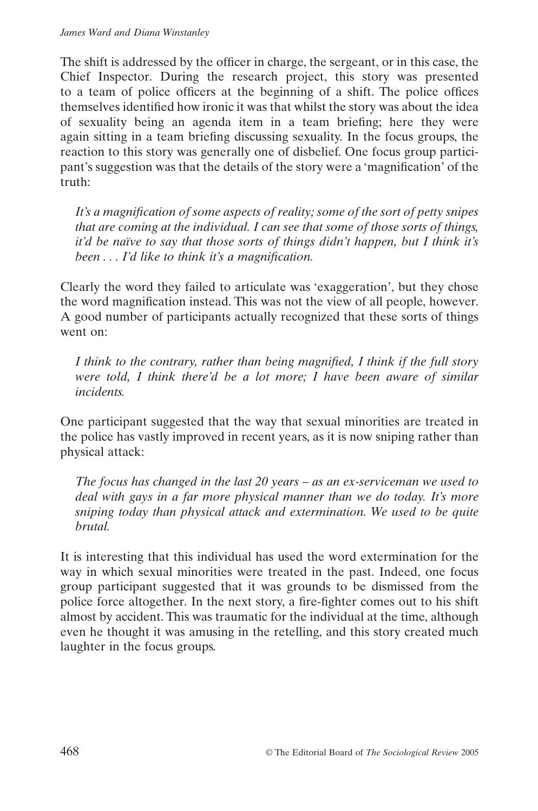The shift is addressed by the officer in charge, the sergeant, or in this case, the Chief Inspector. During the research project, this story was presented to a team of police officers at the beginning of a shift. The police offices themselves identified how ironic it was that whilst the story was about the idea of sexuality being an agenda item in a team briefing; here they were again sitting in a team briefing discussing sexuality. In the focus groups, the reaction to this story was generally one of disbelief. One focus group participant's suggestion was that the details of the story were a 'magnification' of the truth:

*It's a magnification of some aspects of reality; some of the sort of petty snipes that are coming at the individual. I can see that some of those sorts of things, it'd be naïve to say that those sorts of things didn't happen, but I think it's been . . . I'd like to think it's a magnification.*

Clearly the word they failed to articulate was 'exaggeration', but they chose the word magnification instead. This was not the view of all people, however. A good number of participants actually recognized that these sorts of things went on:

*I think to the contrary, rather than being magnified, I think if the full story were told, I think there'd be a lot more; I have been aware of similar incidents.*

One participant suggested that the way that sexual minorities are treated in the police has vastly improved in recent years, as it is now sniping rather than physical attack:

*The focus has changed in the last 20 years – as an ex-serviceman we used to deal with gays in a far more physical manner than we do today. It's more sniping today than physical attack and extermination. We used to be quite brutal.*

It is interesting that this individual has used the word extermination for the way in which sexual minorities were treated in the past. Indeed, one focus group participant suggested that it was grounds to be dismissed from the police force altogether. In the next story, a fire-fighter comes out to his shift almost by accident. This was traumatic for the individual at the time, although even he thought it was amusing in the retelling, and this story created much laughter in the focus groups.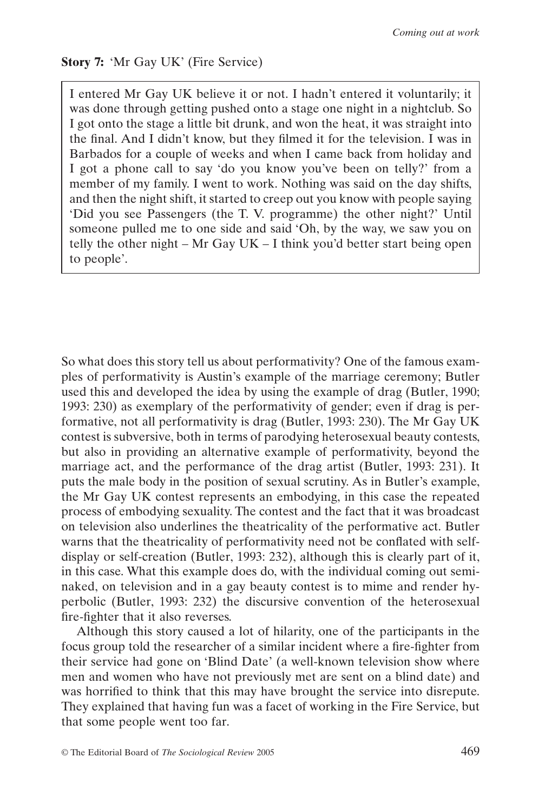#### **Story 7:** 'Mr Gay UK' (Fire Service)

I entered Mr Gay UK believe it or not. I hadn't entered it voluntarily; it was done through getting pushed onto a stage one night in a nightclub. So I got onto the stage a little bit drunk, and won the heat, it was straight into the final. And I didn't know, but they filmed it for the television. I was in Barbados for a couple of weeks and when I came back from holiday and I got a phone call to say 'do you know you've been on telly?' from a member of my family. I went to work. Nothing was said on the day shifts, and then the night shift, it started to creep out you know with people saying 'Did you see Passengers (the T. V. programme) the other night?' Until someone pulled me to one side and said 'Oh, by the way, we saw you on telly the other night – Mr Gay UK – I think you'd better start being open to people'.

So what does this story tell us about performativity? One of the famous examples of performativity is Austin's example of the marriage ceremony; Butler used this and developed the idea by using the example of drag (Butler, 1990; 1993: 230) as exemplary of the performativity of gender; even if drag is performative, not all performativity is drag (Butler, 1993: 230). The Mr Gay UK contest is subversive, both in terms of parodying heterosexual beauty contests, but also in providing an alternative example of performativity, beyond the marriage act, and the performance of the drag artist (Butler, 1993: 231). It puts the male body in the position of sexual scrutiny. As in Butler's example, the Mr Gay UK contest represents an embodying, in this case the repeated process of embodying sexuality. The contest and the fact that it was broadcast on television also underlines the theatricality of the performative act. Butler warns that the theatricality of performativity need not be conflated with selfdisplay or self-creation (Butler, 1993: 232), although this is clearly part of it, in this case. What this example does do, with the individual coming out seminaked, on television and in a gay beauty contest is to mime and render hyperbolic (Butler, 1993: 232) the discursive convention of the heterosexual fire-fighter that it also reverses.

Although this story caused a lot of hilarity, one of the participants in the focus group told the researcher of a similar incident where a fire-fighter from their service had gone on 'Blind Date' (a well-known television show where men and women who have not previously met are sent on a blind date) and was horrified to think that this may have brought the service into disrepute. They explained that having fun was a facet of working in the Fire Service, but that some people went too far.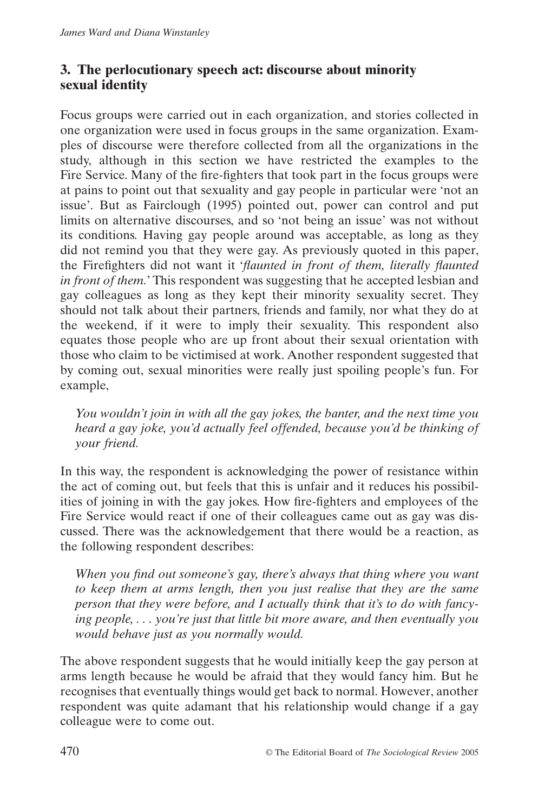## **3. The perlocutionary speech act: discourse about minority sexual identity**

Focus groups were carried out in each organization, and stories collected in one organization were used in focus groups in the same organization. Examples of discourse were therefore collected from all the organizations in the study, although in this section we have restricted the examples to the Fire Service. Many of the fire-fighters that took part in the focus groups were at pains to point out that sexuality and gay people in particular were 'not an issue'. But as Fairclough (1995) pointed out, power can control and put limits on alternative discourses, and so 'not being an issue' was not without its conditions. Having gay people around was acceptable, as long as they did not remind you that they were gay. As previously quoted in this paper, the Firefighters did not want it '*flaunted in front of them, literally flaunted in front of them.*' This respondent was suggesting that he accepted lesbian and gay colleagues as long as they kept their minority sexuality secret. They should not talk about their partners, friends and family, nor what they do at the weekend, if it were to imply their sexuality. This respondent also equates those people who are up front about their sexual orientation with those who claim to be victimised at work. Another respondent suggested that by coming out, sexual minorities were really just spoiling people's fun. For example,

*You wouldn't join in with all the gay jokes, the banter, and the next time you heard a gay joke, you'd actually feel offended, because you'd be thinking of your friend.*

In this way, the respondent is acknowledging the power of resistance within the act of coming out, but feels that this is unfair and it reduces his possibilities of joining in with the gay jokes. How fire-fighters and employees of the Fire Service would react if one of their colleagues came out as gay was discussed. There was the acknowledgement that there would be a reaction, as the following respondent describes:

*When you find out someone's gay, there's always that thing where you want to keep them at arms length, then you just realise that they are the same person that they were before, and I actually think that it's to do with fancying people,... you're just that little bit more aware, and then eventually you would behave just as you normally would.*

The above respondent suggests that he would initially keep the gay person at arms length because he would be afraid that they would fancy him. But he recognises that eventually things would get back to normal. However, another respondent was quite adamant that his relationship would change if a gay colleague were to come out.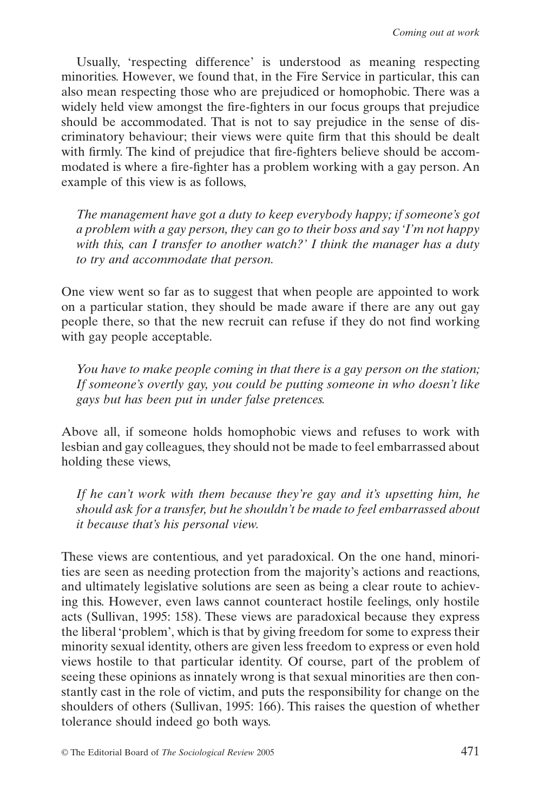Usually, 'respecting difference' is understood as meaning respecting minorities. However, we found that, in the Fire Service in particular, this can also mean respecting those who are prejudiced or homophobic. There was a widely held view amongst the fire-fighters in our focus groups that prejudice should be accommodated. That is not to say prejudice in the sense of discriminatory behaviour; their views were quite firm that this should be dealt with firmly. The kind of prejudice that fire-fighters believe should be accommodated is where a fire-fighter has a problem working with a gay person. An example of this view is as follows,

*The management have got a duty to keep everybody happy; if someone's got a problem with a gay person, they can go to their boss and say 'I'm not happy with this, can I transfer to another watch?' I think the manager has a duty to try and accommodate that person.*

One view went so far as to suggest that when people are appointed to work on a particular station, they should be made aware if there are any out gay people there, so that the new recruit can refuse if they do not find working with gay people acceptable.

*You have to make people coming in that there is a gay person on the station; If someone's overtly gay, you could be putting someone in who doesn't like gays but has been put in under false pretences.*

Above all, if someone holds homophobic views and refuses to work with lesbian and gay colleagues, they should not be made to feel embarrassed about holding these views,

*If he can't work with them because they're gay and it's upsetting him, he should ask for a transfer, but he shouldn't be made to feel embarrassed about it because that's his personal view.*

These views are contentious, and yet paradoxical. On the one hand, minorities are seen as needing protection from the majority's actions and reactions, and ultimately legislative solutions are seen as being a clear route to achieving this. However, even laws cannot counteract hostile feelings, only hostile acts (Sullivan, 1995: 158). These views are paradoxical because they express the liberal 'problem', which is that by giving freedom for some to express their minority sexual identity, others are given less freedom to express or even hold views hostile to that particular identity. Of course, part of the problem of seeing these opinions as innately wrong is that sexual minorities are then constantly cast in the role of victim, and puts the responsibility for change on the shoulders of others (Sullivan, 1995: 166). This raises the question of whether tolerance should indeed go both ways.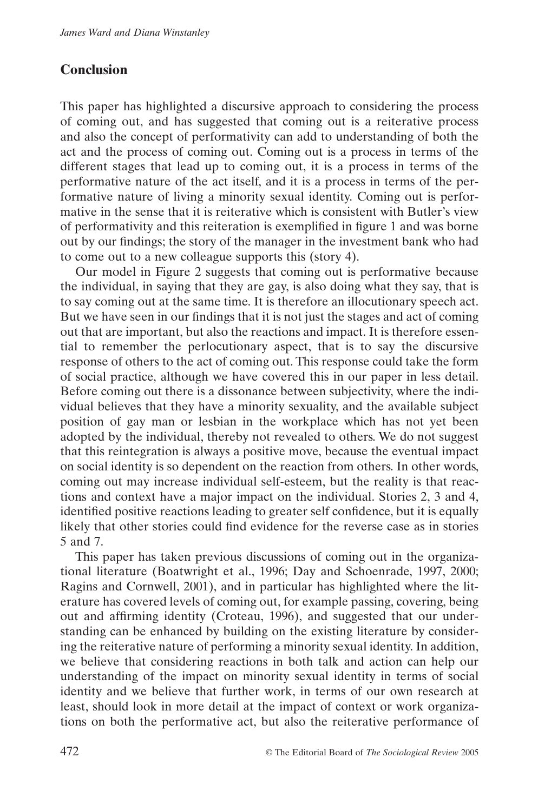### **Conclusion**

This paper has highlighted a discursive approach to considering the process of coming out, and has suggested that coming out is a reiterative process and also the concept of performativity can add to understanding of both the act and the process of coming out. Coming out is a process in terms of the different stages that lead up to coming out, it is a process in terms of the performative nature of the act itself, and it is a process in terms of the performative nature of living a minority sexual identity. Coming out is performative in the sense that it is reiterative which is consistent with Butler's view of performativity and this reiteration is exemplified in figure 1 and was borne out by our findings; the story of the manager in the investment bank who had to come out to a new colleague supports this (story 4).

Our model in Figure 2 suggests that coming out is performative because the individual, in saying that they are gay, is also doing what they say, that is to say coming out at the same time. It is therefore an illocutionary speech act. But we have seen in our findings that it is not just the stages and act of coming out that are important, but also the reactions and impact. It is therefore essential to remember the perlocutionary aspect, that is to say the discursive response of others to the act of coming out. This response could take the form of social practice, although we have covered this in our paper in less detail. Before coming out there is a dissonance between subjectivity, where the individual believes that they have a minority sexuality, and the available subject position of gay man or lesbian in the workplace which has not yet been adopted by the individual, thereby not revealed to others. We do not suggest that this reintegration is always a positive move, because the eventual impact on social identity is so dependent on the reaction from others. In other words, coming out may increase individual self-esteem, but the reality is that reactions and context have a major impact on the individual. Stories 2, 3 and 4, identified positive reactions leading to greater self confidence, but it is equally likely that other stories could find evidence for the reverse case as in stories 5 and 7.

This paper has taken previous discussions of coming out in the organizational literature (Boatwright et al., 1996; Day and Schoenrade, 1997, 2000; Ragins and Cornwell, 2001), and in particular has highlighted where the literature has covered levels of coming out, for example passing, covering, being out and affirming identity (Croteau, 1996), and suggested that our understanding can be enhanced by building on the existing literature by considering the reiterative nature of performing a minority sexual identity. In addition, we believe that considering reactions in both talk and action can help our understanding of the impact on minority sexual identity in terms of social identity and we believe that further work, in terms of our own research at least, should look in more detail at the impact of context or work organizations on both the performative act, but also the reiterative performance of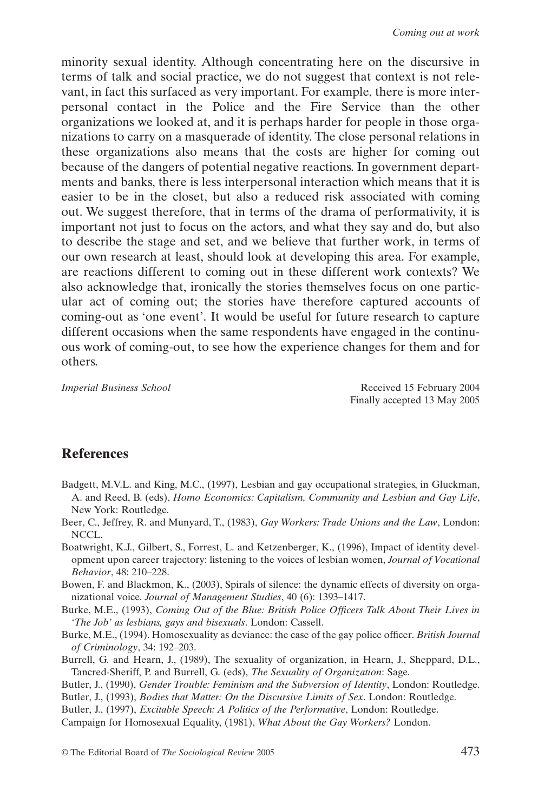minority sexual identity. Although concentrating here on the discursive in terms of talk and social practice, we do not suggest that context is not relevant, in fact this surfaced as very important. For example, there is more interpersonal contact in the Police and the Fire Service than the other organizations we looked at, and it is perhaps harder for people in those organizations to carry on a masquerade of identity. The close personal relations in these organizations also means that the costs are higher for coming out because of the dangers of potential negative reactions. In government departments and banks, there is less interpersonal interaction which means that it is easier to be in the closet, but also a reduced risk associated with coming out. We suggest therefore, that in terms of the drama of performativity, it is important not just to focus on the actors, and what they say and do, but also to describe the stage and set, and we believe that further work, in terms of our own research at least, should look at developing this area. For example, are reactions different to coming out in these different work contexts? We also acknowledge that, ironically the stories themselves focus on one particular act of coming out; the stories have therefore captured accounts of coming-out as 'one event'. It would be useful for future research to capture different occasions when the same respondents have engaged in the continuous work of coming-out, to see how the experience changes for them and for others.

*Imperial Business School* Received 15 February 2004 Finally accepted 13 May 2005

### **References**

- Badgett, M.V.L. and King, M.C., (1997), Lesbian and gay occupational strategies, in Gluckman, A. and Reed, B. (eds), *Homo Economics: Capitalism, Community and Lesbian and Gay Life*, New York: Routledge.
- Beer, C., Jeffrey, R. and Munyard, T., (1983), *Gay Workers: Trade Unions and the Law*, London: NCCL.
- Boatwright, K.J., Gilbert, S., Forrest, L. and Ketzenberger, K., (1996), Impact of identity development upon career trajectory: listening to the voices of lesbian women, *Journal of Vocational Behavior*, 48: 210–228.
- Bowen, F. and Blackmon, K., (2003), Spirals of silence: the dynamic effects of diversity on organizational voice. *Journal of Management Studies*, 40 (6): 1393–1417.
- Burke, M.E., (1993), *Coming Out of the Blue: British Police Officers Talk About Their Lives in 'The Job' as lesbians, gays and bisexuals*. London: Cassell.
- Burke, M.E., (1994). Homosexuality as deviance: the case of the gay police officer. *British Journal of Criminology*, 34: 192–203.
- Burrell, G. and Hearn, J., (1989), The sexuality of organization, in Hearn, J., Sheppard, D.L., Tancred-Sheriff, P. and Burrell, G. (eds), *The Sexuality of Organization*: Sage.

Butler, J., (1990), *Gender Trouble: Feminism and the Subversion of Identity*, London: Routledge.

Butler, J., (1993), *Bodies that Matter: On the Discursive Limits of Sex*. London: Routledge.

- Butler, J., (1997), *Excitable Speech: A Politics of the Performative*, London: Routledge.
- Campaign for Homosexual Equality, (1981), *What About the Gay Workers?* London.

© The Editorial Board of *The Sociological Review* 2005 473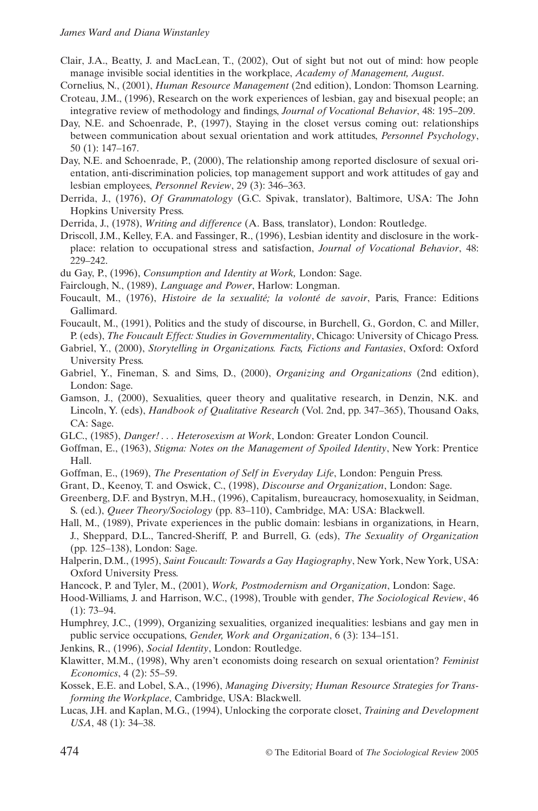- Clair, J.A., Beatty, J. and MacLean, T., (2002), Out of sight but not out of mind: how people manage invisible social identities in the workplace, *Academy of Management, August*.
- Cornelius, N., (2001), *Human Resource Management* (2nd edition), London: Thomson Learning. Croteau, J.M., (1996), Research on the work experiences of lesbian, gay and bisexual people; an
- integrative review of methodology and findings, *Journal of Vocational Behavior*, 48: 195–209. Day, N.E. and Schoenrade, P., (1997), Staying in the closet versus coming out: relationships
- between communication about sexual orientation and work attitudes, *Personnel Psychology*, 50 (1): 147–167.
- Day, N.E. and Schoenrade, P., (2000), The relationship among reported disclosure of sexual orientation, anti-discrimination policies, top management support and work attitudes of gay and lesbian employees, *Personnel Review*, 29 (3): 346–363.
- Derrida, J., (1976), *Of Grammatology* (G.C. Spivak, translator), Baltimore, USA: The John Hopkins University Press.
- Derrida, J., (1978), *Writing and difference* (A. Bass, translator), London: Routledge.
- Driscoll, J.M., Kelley, F.A. and Fassinger, R., (1996), Lesbian identity and disclosure in the workplace: relation to occupational stress and satisfaction, *Journal of Vocational Behavior*, 48: 229–242.
- du Gay, P., (1996), *Consumption and Identity at Work,* London: Sage.
- Fairclough, N., (1989), *Language and Power*, Harlow: Longman.
- Foucault, M., (1976), *Histoire de la sexualité; la volonté de savoir*, Paris, France: Editions Gallimard.
- Foucault, M., (1991), Politics and the study of discourse, in Burchell, G., Gordon, C. and Miller, P. (eds), *The Foucault Effect: Studies in Governmentality*, Chicago: University of Chicago Press.
- Gabriel, Y., (2000), *Storytelling in Organizations. Facts, Fictions and Fantasies*, Oxford: Oxford University Press.
- Gabriel, Y., Fineman, S. and Sims, D., (2000), *Organizing and Organizations* (2nd edition), London: Sage.
- Gamson, J., (2000), Sexualities, queer theory and qualitative research, in Denzin, N.K. and Lincoln, Y. (eds), *Handbook of Qualitative Research* (Vol. 2nd, pp. 347–365), Thousand Oaks, CA: Sage.
- GLC., (1985), *Danger!... Heterosexism at Work*, London: Greater London Council.
- Goffman, E., (1963), *Stigma: Notes on the Management of Spoiled Identity*, New York: Prentice Hall.
- Goffman, E., (1969), *The Presentation of Self in Everyday Life*, London: Penguin Press.
- Grant, D., Keenoy, T. and Oswick, C., (1998), *Discourse and Organization*, London: Sage.
- Greenberg, D.F. and Bystryn, M.H., (1996), Capitalism, bureaucracy, homosexuality, in Seidman, S. (ed.), *Queer Theory/Sociology* (pp. 83–110), Cambridge, MA: USA: Blackwell.
- Hall, M., (1989), Private experiences in the public domain: lesbians in organizations, in Hearn, J., Sheppard, D.L., Tancred-Sheriff, P. and Burrell, G. (eds), *The Sexuality of Organization* (pp. 125–138), London: Sage.
- Halperin, D.M., (1995), *Saint Foucault: Towards a Gay Hagiography*, New York, New York, USA: Oxford University Press.
- Hancock, P. and Tyler, M., (2001), *Work, Postmodernism and Organization*, London: Sage.
- Hood-Williams, J. and Harrison, W.C., (1998), Trouble with gender, *The Sociological Review*, 46 (1): 73–94.
- Humphrey, J.C., (1999), Organizing sexualities, organized inequalities: lesbians and gay men in public service occupations, *Gender, Work and Organization*, 6 (3): 134–151.
- Jenkins, R., (1996), *Social Identity*, London: Routledge.
- Klawitter, M.M., (1998), Why aren't economists doing research on sexual orientation? *Feminist Economics*, 4 (2): 55–59.
- Kossek, E.E. and Lobel, S.A., (1996), *Managing Diversity; Human Resource Strategies for Transforming the Workplace*, Cambridge, USA: Blackwell.
- Lucas, J.H. and Kaplan, M.G., (1994), Unlocking the corporate closet, *Training and Development USA*, 48 (1): 34–38.